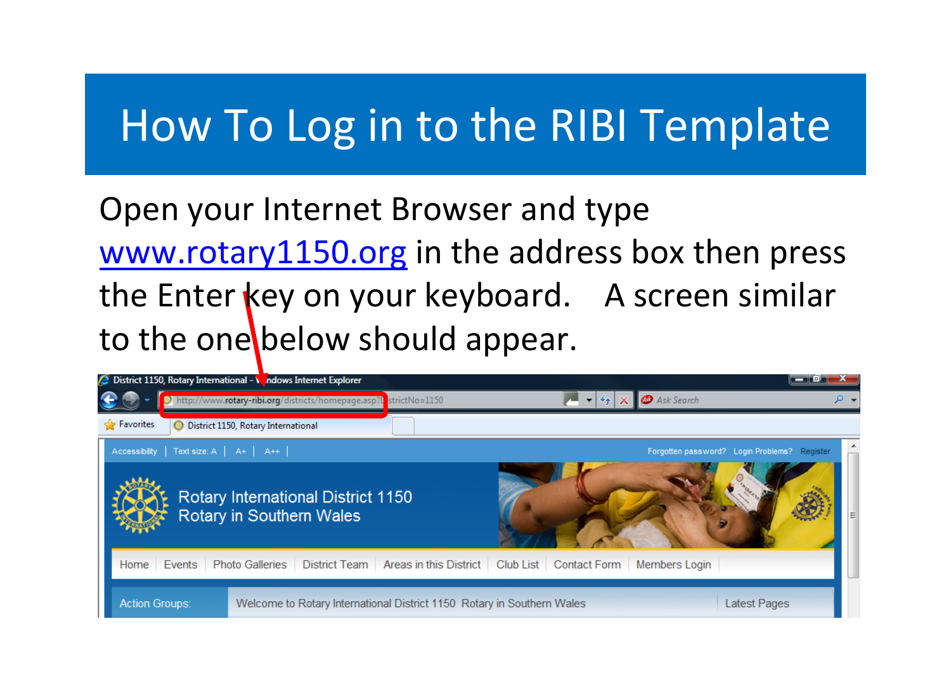Open your Internet Browser and type [www.rotary1150.org](http://www.rotary1150.org/) in the address box then press the Enter key on your keyboard. A screen similar to the one below should appear.

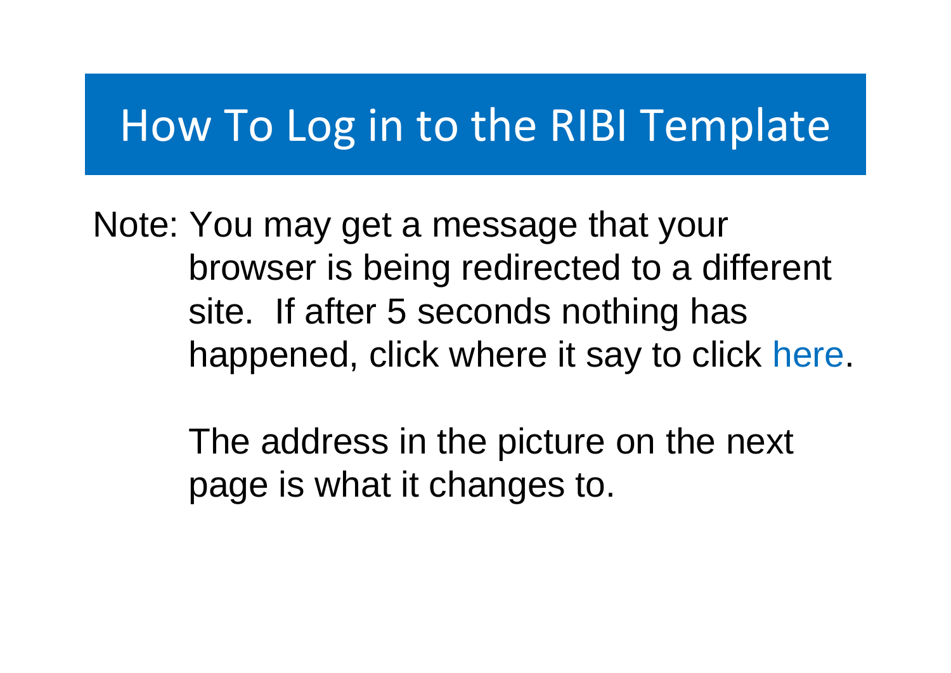Note: You may get a message that your browser is being redirected to a different site. If after 5 seconds nothing has happened, click where it say to click here.

> The address in the picture on the next page is what it changes to.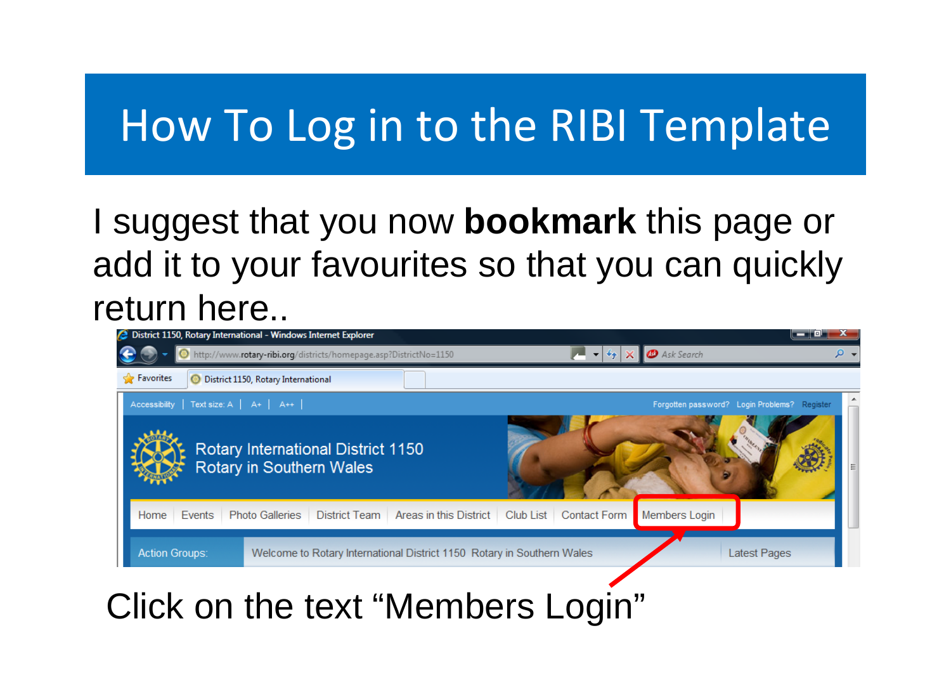#### I suggest that you now **bookmark** this page or add it to your favourites so that you can quickly return here..



#### Click on the text "Members Login"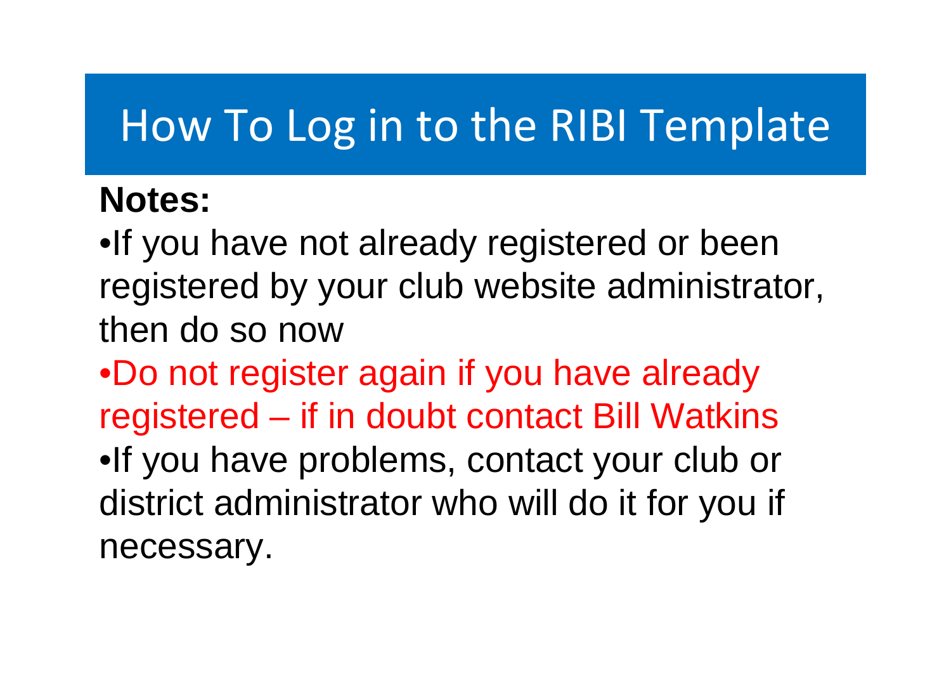#### **Notes:**

•If you have not already registered or been registered by your club website administrator, then do so now

•Do not register again if you have already registered – if in doubt contact Bill Watkins •If you have problems, contact your club or district administrator who will do it for you if necessary.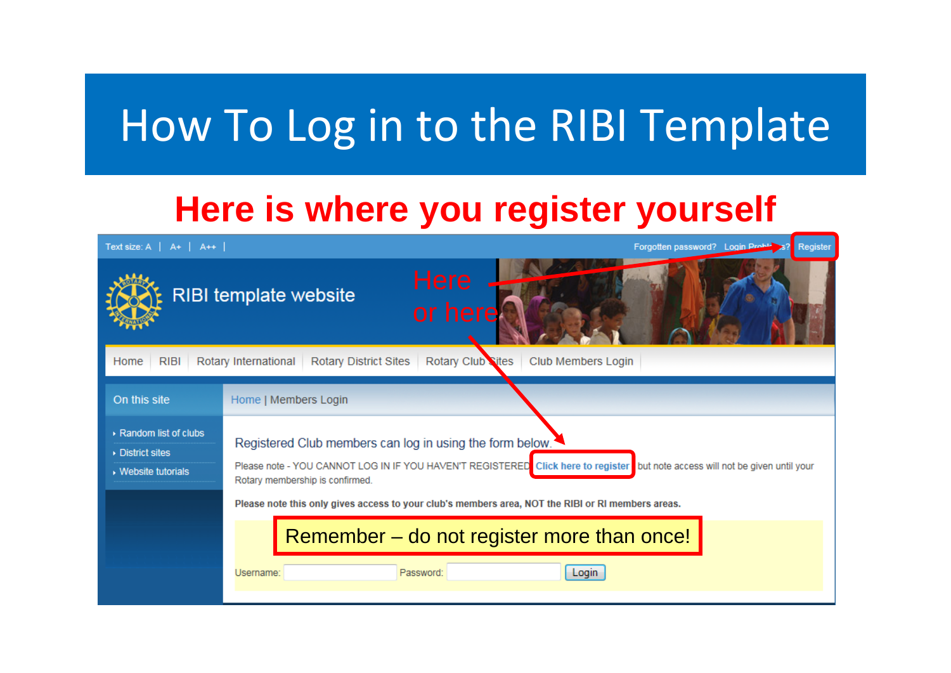#### **Here is where you register yourself**

Text size:  $A \mid A+ \mid A++ \mid$ Forgotten password? Login Proble Register **RIBI template website** Rotary Club Sites | Club Members Login Home **RIBI** Rotary International **Rotary District Sites** On this site Home | Members Login ▶ Random list of clubs Registered Club members can log in using the form below. ▶ District sites Please note - YOU CANNOT LOG IN IF YOU HAVEN'T REGISTERED Click here to register but note access will not be given until your ▶ Website tutorials Rotary membership is confirmed. Please note this only gives access to your club's members area, NOT the RIBI or RI members areas. Remember – do not register more than once!Username: Password: Login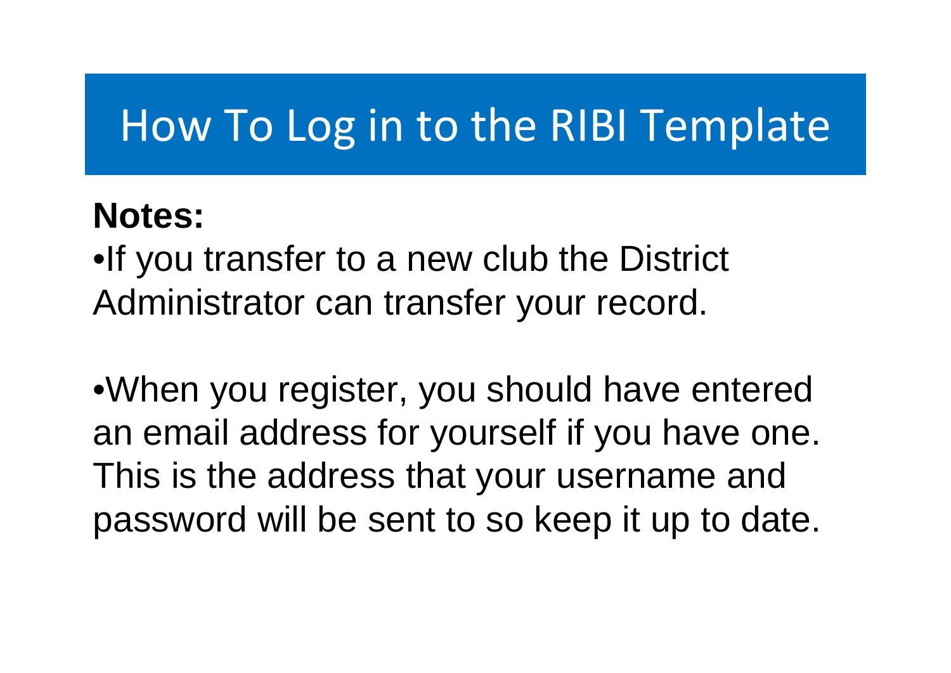#### **Notes:**

•If you transfer to a new club the District Administrator can transfer your record.

•When you register, you should have entered an email address for yourself if you have one. This is the address that your username and password will be sent to so keep it up to date.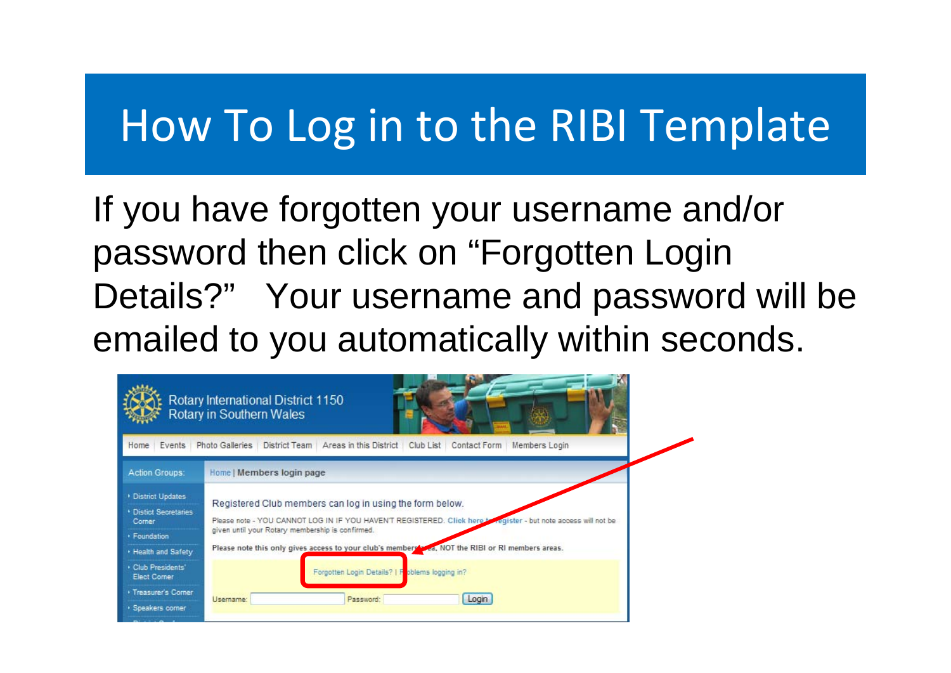If you have forgotten your username and/or password then click on "Forgotten Login Details?" Your username and password will be emailed to you automatically within seconds.

|                                                                            | Rotary International District 1150<br>Rotary in Southern Wales                                                                                                                                                                  |
|----------------------------------------------------------------------------|---------------------------------------------------------------------------------------------------------------------------------------------------------------------------------------------------------------------------------|
| Events<br>Home                                                             | Photo Galleries<br>Areas in this District<br>District Team<br>Club List<br>Contact Form<br>Members Login                                                                                                                        |
| <b>Action Groups:</b>                                                      | Home   Members login page                                                                                                                                                                                                       |
| District Updates<br><b>* Distict Secretaries</b><br>Corner<br>· Foundation | Registered Club members can log in using the form below.<br>Please note - YOU CANNOT LOG IN IF YOU HAVEN'T REGISTERED. Click here to register - but note access will not be<br>given until your Rotary membership is confirmed. |
| . Health and Safety<br>Club Presidents'<br>Elect Corner                    | Please note this only gives access to your club's members you a, NOT the RIBI or RI members areas.<br>Forgotten Login Details?   Foblems logging in?                                                                            |
| <b>* Treasurer's Corner</b><br>· Speakers corner                           | Login<br>Username:<br>Password:                                                                                                                                                                                                 |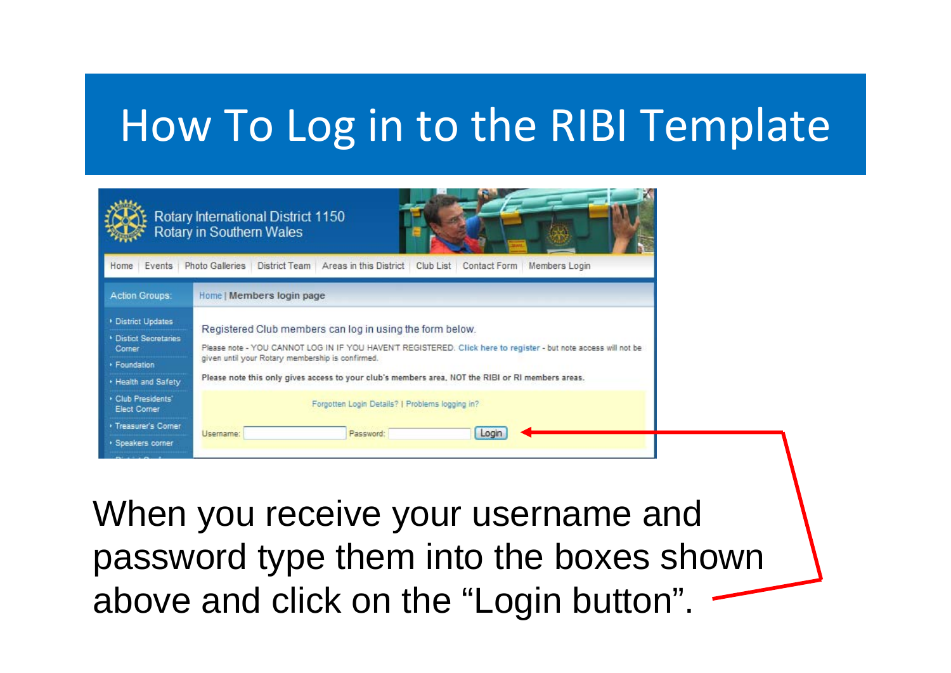| Rotary International District 1150<br>Rotary in Southern Wales                                    |                                                                                                                                                                                                                                                                                                                                      |  |
|---------------------------------------------------------------------------------------------------|--------------------------------------------------------------------------------------------------------------------------------------------------------------------------------------------------------------------------------------------------------------------------------------------------------------------------------------|--|
| Home Events                                                                                       | Photo Galleries   District Team   Areas in this District  <br>Club List Contact Form<br>Members Login                                                                                                                                                                                                                                |  |
| <b>Action Groups:</b>                                                                             | Home   Members login page                                                                                                                                                                                                                                                                                                            |  |
| District Updates<br><b>* Distict Secretaries</b><br>Corner<br>· Foundation<br>. Health and Safety | Registered Club members can log in using the form below.<br>Please note - YOU CANNOT LOG IN IF YOU HAVEN'T REGISTERED. Click here to register - but note access will not be<br>given until your Rotary membership is confirmed.<br>Please note this only gives access to your club's members area, NOT the RIBI or RI members areas. |  |
| Club Presidents'<br><b>Elect Corner</b><br>· Treasurer's Corner                                   | Forgotten Login Details?   Problems logging in?<br>Username:<br>Password:<br>Login                                                                                                                                                                                                                                                   |  |
| · Speakers corner                                                                                 |                                                                                                                                                                                                                                                                                                                                      |  |

When you receive your username and password type them into the boxes shown above and click on the "Login button".